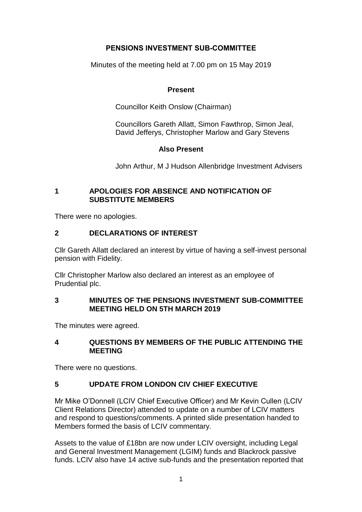# **PENSIONS INVESTMENT SUB-COMMITTEE**

Minutes of the meeting held at 7.00 pm on 15 May 2019

# **Present**

Councillor Keith Onslow (Chairman)

Councillors Gareth Allatt, Simon Fawthrop, Simon Jeal, David Jefferys, Christopher Marlow and Gary Stevens

# **Also Present**

John Arthur, M J Hudson Allenbridge Investment Advisers

# **1 APOLOGIES FOR ABSENCE AND NOTIFICATION OF SUBSTITUTE MEMBERS**

There were no apologies.

# **2 DECLARATIONS OF INTEREST**

Cllr Gareth Allatt declared an interest by virtue of having a self-invest personal pension with Fidelity.

Cllr Christopher Marlow also declared an interest as an employee of Prudential plc.

## **3 MINUTES OF THE PENSIONS INVESTMENT SUB-COMMITTEE MEETING HELD ON 5TH MARCH 2019**

The minutes were agreed.

# **4 QUESTIONS BY MEMBERS OF THE PUBLIC ATTENDING THE MEETING**

There were no questions.

# **5 UPDATE FROM LONDON CIV CHIEF EXECUTIVE**

Mr Mike O'Donnell (LCIV Chief Executive Officer) and Mr Kevin Cullen (LCIV Client Relations Director) attended to update on a number of LCIV matters and respond to questions/comments. A printed slide presentation handed to Members formed the basis of LCIV commentary.

Assets to the value of £18bn are now under LCIV oversight, including Legal and General Investment Management (LGIM) funds and Blackrock passive funds. LCIV also have 14 active sub-funds and the presentation reported that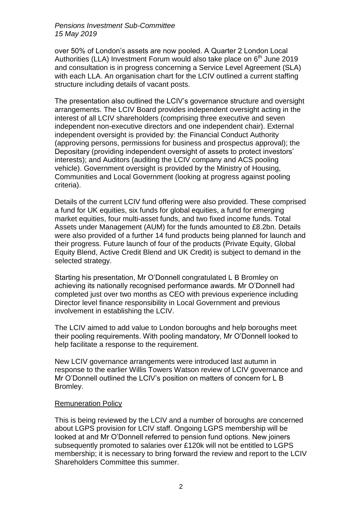over 50% of London's assets are now pooled. A Quarter 2 London Local Authorities (LLA) Investment Forum would also take place on  $6<sup>th</sup>$  June 2019 and consultation is in progress concerning a Service Level Agreement (SLA) with each LLA. An organisation chart for the LCIV outlined a current staffing structure including details of vacant posts.

The presentation also outlined the LCIV's governance structure and oversight arrangements. The LCIV Board provides independent oversight acting in the interest of all LCIV shareholders (comprising three executive and seven independent non-executive directors and one independent chair). External independent oversight is provided by: the Financial Conduct Authority (approving persons, permissions for business and prospectus approval); the Depositary (providing independent oversight of assets to protect investors' interests); and Auditors (auditing the LCIV company and ACS pooling vehicle). Government oversight is provided by the Ministry of Housing, Communities and Local Government (looking at progress against pooling criteria).

Details of the current LCIV fund offering were also provided. These comprised a fund for UK equities, six funds for global equities, a fund for emerging market equities, four multi-asset funds, and two fixed income funds. Total Assets under Management (AUM) for the funds amounted to £8.2bn. Details were also provided of a further 14 fund products being planned for launch and their progress. Future launch of four of the products (Private Equity, Global Equity Blend, Active Credit Blend and UK Credit) is subject to demand in the selected strategy.

Starting his presentation, Mr O'Donnell congratulated L B Bromley on achieving its nationally recognised performance awards. Mr O'Donnell had completed just over two months as CEO with previous experience including Director level finance responsibility in Local Government and previous involvement in establishing the LCIV.

The LCIV aimed to add value to London boroughs and help boroughs meet their pooling requirements. With pooling mandatory, Mr O'Donnell looked to help facilitate a response to the requirement.

New LCIV governance arrangements were introduced last autumn in response to the earlier Willis Towers Watson review of LCIV governance and Mr O'Donnell outlined the LCIV's position on matters of concern for L B Bromley.

## Remuneration Policy

This is being reviewed by the LCIV and a number of boroughs are concerned about LGPS provision for LCIV staff. Ongoing LGPS membership will be looked at and Mr O'Donnell referred to pension fund options. New joiners subsequently promoted to salaries over £120k will not be entitled to LGPS membership; it is necessary to bring forward the review and report to the LCIV Shareholders Committee this summer.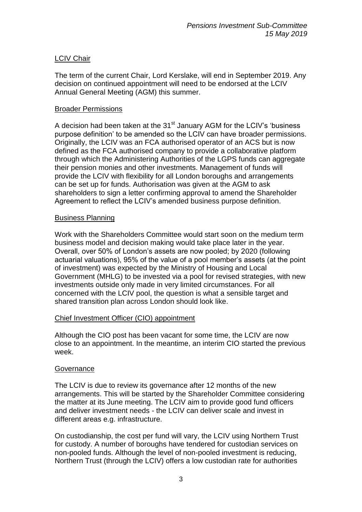# LCIV Chair

The term of the current Chair, Lord Kerslake, will end in September 2019. Any decision on continued appointment will need to be endorsed at the LCIV Annual General Meeting (AGM) this summer.

# Broader Permissions

A decision had been taken at the  $31<sup>st</sup>$  January AGM for the LCIV's 'business purpose definition' to be amended so the LCIV can have broader permissions. Originally, the LCIV was an FCA authorised operator of an ACS but is now defined as the FCA authorised company to provide a collaborative platform through which the Administering Authorities of the LGPS funds can aggregate their pension monies and other investments. Management of funds will provide the LCIV with flexibility for all London boroughs and arrangements can be set up for funds. Authorisation was given at the AGM to ask shareholders to sign a letter confirming approval to amend the Shareholder Agreement to reflect the LCIV's amended business purpose definition.

# Business Planning

Work with the Shareholders Committee would start soon on the medium term business model and decision making would take place later in the year. Overall, over 50% of London's assets are now pooled; by 2020 (following actuarial valuations), 95% of the value of a pool member's assets (at the point of investment) was expected by the Ministry of Housing and Local Government (MHLG) to be invested via a pool for revised strategies, with new investments outside only made in very limited circumstances. For all concerned with the LCIV pool, the question is what a sensible target and shared transition plan across London should look like.

## Chief Investment Officer (CIO) appointment

Although the CIO post has been vacant for some time, the LCIV are now close to an appointment. In the meantime, an interim CIO started the previous week.

## **Governance**

The LCIV is due to review its governance after 12 months of the new arrangements. This will be started by the Shareholder Committee considering the matter at its June meeting. The LCIV aim to provide good fund officers and deliver investment needs - the LCIV can deliver scale and invest in different areas e.g. infrastructure.

On custodianship, the cost per fund will vary, the LCIV using Northern Trust for custody. A number of boroughs have tendered for custodian services on non-pooled funds. Although the level of non-pooled investment is reducing, Northern Trust (through the LCIV) offers a low custodian rate for authorities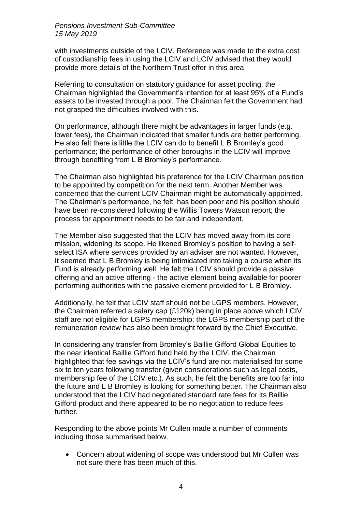with investments outside of the LCIV. Reference was made to the extra cost of custodianship fees in using the LCIV and LCIV advised that they would provide more details of the Northern Trust offer in this area.

Referring to consultation on statutory guidance for asset pooling, the Chairman highlighted the Government's intention for at least 95% of a Fund's assets to be invested through a pool. The Chairman felt the Government had not grasped the difficulties involved with this.

On performance, although there might be advantages in larger funds (e.g. lower fees), the Chairman indicated that smaller funds are better performing. He also felt there is little the LCIV can do to benefit L B Bromley's good performance; the performance of other boroughs in the LCIV will improve through benefiting from L B Bromley's performance.

The Chairman also highlighted his preference for the LCIV Chairman position to be appointed by competition for the next term. Another Member was concerned that the current LCIV Chairman might be automatically appointed. The Chairman's performance, he felt, has been poor and his position should have been re-considered following the Willis Towers Watson report; the process for appointment needs to be fair and independent.

The Member also suggested that the LCIV has moved away from its core mission, widening its scope. He likened Bromley's position to having a selfselect ISA where services provided by an adviser are not wanted. However, It seemed that L B Bromley is being intimidated into taking a course when its Fund is already performing well. He felt the LCIV should provide a passive offering and an active offering - the active element being available for poorer performing authorities with the passive element provided for L B Bromley.

Additionally, he felt that LCIV staff should not be LGPS members. However, the Chairman referred a salary cap (£120k) being in place above which LCIV staff are not eligible for LGPS membership; the LGPS membership part of the remuneration review has also been brought forward by the Chief Executive.

In considering any transfer from Bromley's Baillie Gifford Global Equities to the near identical Baillie Gifford fund held by the LCIV, the Chairman highlighted that fee savings via the LCIV's fund are not materialised for some six to ten years following transfer (given considerations such as legal costs, membership fee of the LCIV etc.). As such, he felt the benefits are too far into the future and L B Bromley is looking for something better. The Chairman also understood that the LCIV had negotiated standard rate fees for its Baillie Gifford product and there appeared to be no negotiation to reduce fees further.

Responding to the above points Mr Cullen made a number of comments including those summarised below.

 Concern about widening of scope was understood but Mr Cullen was not sure there has been much of this.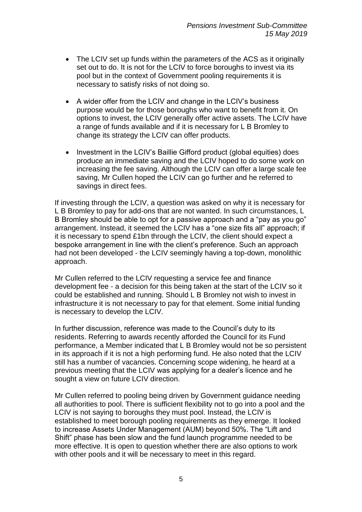- The LCIV set up funds within the parameters of the ACS as it originally set out to do. It is not for the LCIV to force boroughs to invest via its pool but in the context of Government pooling requirements it is necessary to satisfy risks of not doing so.
- A wider offer from the LCIV and change in the LCIV's business purpose would be for those boroughs who want to benefit from it. On options to invest, the LCIV generally offer active assets. The LCIV have a range of funds available and if it is necessary for L B Bromley to change its strategy the LCIV can offer products.
- Investment in the LCIV's Baillie Gifford product (global equities) does produce an immediate saving and the LCIV hoped to do some work on increasing the fee saving. Although the LCIV can offer a large scale fee saving, Mr Cullen hoped the LCIV can go further and he referred to savings in direct fees.

If investing through the LCIV, a question was asked on why it is necessary for L B Bromley to pay for add-ons that are not wanted. In such circumstances, L B Bromley should be able to opt for a passive approach and a "pay as you go" arrangement. Instead, it seemed the LCIV has a "one size fits all" approach; if it is necessary to spend £1bn through the LCIV, the client should expect a bespoke arrangement in line with the client's preference. Such an approach had not been developed - the LCIV seemingly having a top-down, monolithic approach.

Mr Cullen referred to the LCIV requesting a service fee and finance development fee - a decision for this being taken at the start of the LCIV so it could be established and running. Should L B Bromley not wish to invest in infrastructure it is not necessary to pay for that element. Some initial funding is necessary to develop the LCIV.

In further discussion, reference was made to the Council's duty to its residents. Referring to awards recently afforded the Council for its Fund performance, a Member indicated that L B Bromley would not be so persistent in its approach if it is not a high performing fund. He also noted that the LCIV still has a number of vacancies. Concerning scope widening, he heard at a previous meeting that the LCIV was applying for a dealer's licence and he sought a view on future LCIV direction.

Mr Cullen referred to pooling being driven by Government guidance needing all authorities to pool. There is sufficient flexibility not to go into a pool and the LCIV is not saying to boroughs they must pool. Instead, the LCIV is established to meet borough pooling requirements as they emerge. It looked to increase Assets Under Management (AUM) beyond 50%. The "Lift and Shift" phase has been slow and the fund launch programme needed to be more effective. It is open to question whether there are also options to work with other pools and it will be necessary to meet in this regard.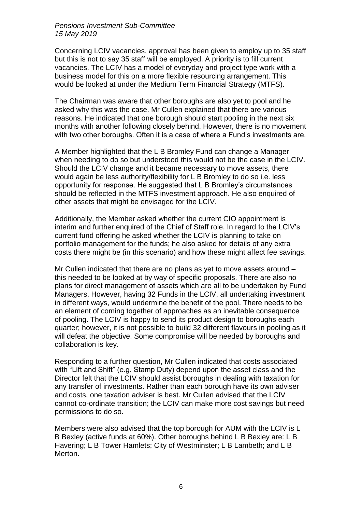Concerning LCIV vacancies, approval has been given to employ up to 35 staff but this is not to say 35 staff will be employed. A priority is to fill current vacancies. The LCIV has a model of everyday and project type work with a business model for this on a more flexible resourcing arrangement. This would be looked at under the Medium Term Financial Strategy (MTFS).

The Chairman was aware that other boroughs are also yet to pool and he asked why this was the case. Mr Cullen explained that there are various reasons. He indicated that one borough should start pooling in the next six months with another following closely behind. However, there is no movement with two other boroughs. Often it is a case of where a Fund's investments are.

A Member highlighted that the L B Bromley Fund can change a Manager when needing to do so but understood this would not be the case in the LCIV. Should the LCIV change and it became necessary to move assets, there would again be less authority/flexibility for L B Bromley to do so i.e. less opportunity for response. He suggested that L B Bromley's circumstances should be reflected in the MTFS investment approach. He also enquired of other assets that might be envisaged for the LCIV.

Additionally, the Member asked whether the current CIO appointment is interim and further enquired of the Chief of Staff role. In regard to the LCIV's current fund offering he asked whether the LCIV is planning to take on portfolio management for the funds; he also asked for details of any extra costs there might be (in this scenario) and how these might affect fee savings.

Mr Cullen indicated that there are no plans as yet to move assets around – this needed to be looked at by way of specific proposals. There are also no plans for direct management of assets which are all to be undertaken by Fund Managers. However, having 32 Funds in the LCIV, all undertaking investment in different ways, would undermine the benefit of the pool. There needs to be an element of coming together of approaches as an inevitable consequence of pooling. The LCIV is happy to send its product design to boroughs each quarter; however, it is not possible to build 32 different flavours in pooling as it will defeat the objective. Some compromise will be needed by boroughs and collaboration is key.

Responding to a further question, Mr Cullen indicated that costs associated with "Lift and Shift" (e.g. Stamp Duty) depend upon the asset class and the Director felt that the LCIV should assist boroughs in dealing with taxation for any transfer of investments. Rather than each borough have its own adviser and costs, one taxation adviser is best. Mr Cullen advised that the LCIV cannot co-ordinate transition; the LCIV can make more cost savings but need permissions to do so.

Members were also advised that the top borough for AUM with the LCIV is L B Bexley (active funds at 60%). Other boroughs behind L B Bexley are: L B Havering; L B Tower Hamlets; City of Westminster; L B Lambeth; and L B Merton.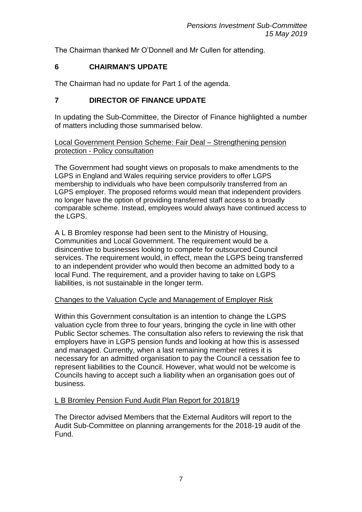The Chairman thanked Mr O'Donnell and Mr Cullen for attending.

# **6 CHAIRMAN'S UPDATE**

The Chairman had no update for Part 1 of the agenda.

# **7 DIRECTOR OF FINANCE UPDATE**

In updating the Sub-Committee, the Director of Finance highlighted a number of matters including those summarised below.

Local Government Pension Scheme: Fair Deal – Strengthening pension protection - Policy consultation

The Government had sought views on proposals to make amendments to the LGPS in England and Wales requiring service providers to offer LGPS membership to individuals who have been compulsorily transferred from an LGPS employer. The proposed reforms would mean that independent providers no longer have the option of providing transferred staff access to a broadly comparable scheme. Instead, employees would always have continued access to the LGPS.

A L B Bromley response had been sent to the Ministry of Housing, Communities and Local Government. The requirement would be a disincentive to businesses looking to compete for outsourced Council services. The requirement would, in effect, mean the LGPS being transferred to an independent provider who would then become an admitted body to a local Fund. The requirement, and a provider having to take on LGPS liabilities, is not sustainable in the longer term.

# Changes to the Valuation Cycle and Management of Employer Risk

Within this Government consultation is an intention to change the LGPS valuation cycle from three to four years, bringing the cycle in line with other Public Sector schemes. The consultation also refers to reviewing the risk that employers have in LGPS pension funds and looking at how this is assessed and managed. Currently, when a last remaining member retires it is necessary for an admitted organisation to pay the Council a cessation fee to represent liabilities to the Council. However, what would not be welcome is Councils having to accept such a liability when an organisation goes out of business.

# L B Bromley Pension Fund Audit Plan Report for 2018/19

The Director advised Members that the External Auditors will report to the Audit Sub-Committee on planning arrangements for the 2018-19 audit of the Fund.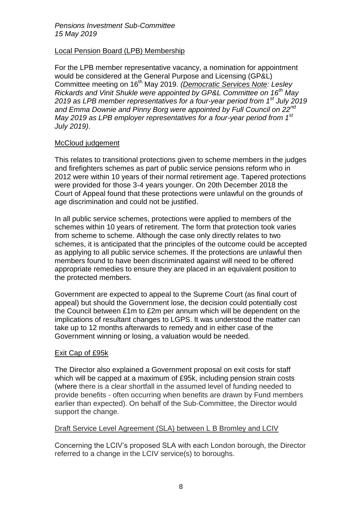# Local Pension Board (LPB) Membership

For the LPB member representative vacancy, a nomination for appointment would be considered at the General Purpose and Licensing (GP&L) Committee meeting on 16<sup>th</sup> May 2019. *(Democratic Services Note: Lesley Rickards and Vinit Shukle were appointed by GP&L Committee on 16th May 2019 as LPB member representatives for a four-year period from 1st July 2019 and Emma Downie and Pinny Borg were appointed by Full Council on 22nd May 2019 as LPB employer representatives for a four-year period from 1st July 2019)*.

# McCloud judgement

This relates to transitional protections given to scheme members in the judges and firefighters schemes as part of public service pensions reform who in 2012 were within 10 years of their normal retirement age. Tapered protections were provided for those 3-4 years younger. On 20th December 2018 the Court of Appeal found that these protections were unlawful on the grounds of age discrimination and could not be justified.

In all public service schemes, protections were applied to members of the schemes within 10 years of retirement. The form that protection took varies from scheme to scheme. Although the case only directly relates to two schemes, it is anticipated that the principles of the outcome could be accepted as applying to all public service schemes. If the protections are unlawful then members found to have been discriminated against will need to be offered appropriate remedies to ensure they are placed in an equivalent position to the protected members.

Government are expected to appeal to the Supreme Court (as final court of appeal) but should the Government lose, the decision could potentially cost the Council between £1m to £2m per annum which will be dependent on the implications of resultant changes to LGPS. It was understood the matter can take up to 12 months afterwards to remedy and in either case of the Government winning or losing, a valuation would be needed.

## Exit Cap of £95k

The Director also explained a Government proposal on exit costs for staff which will be capped at a maximum of £95k, including pension strain costs (where there is a clear shortfall in the assumed level of funding needed to provide benefits - often occurring when benefits are drawn by Fund members earlier than expected). On behalf of the Sub-Committee, the Director would support the change.

## Draft Service Level Agreement (SLA) between L B Bromley and LCIV

Concerning the LCIV's proposed SLA with each London borough, the Director referred to a change in the LCIV service(s) to boroughs.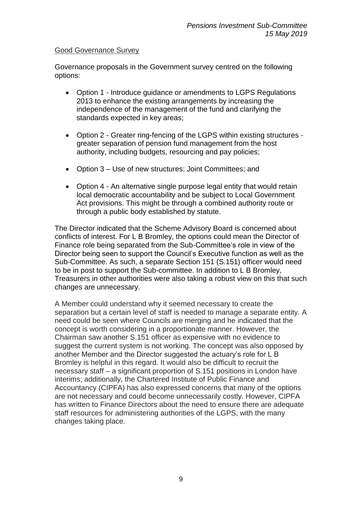# Good Governance Survey

Governance proposals in the Government survey centred on the following options:

- Option 1 Introduce guidance or amendments to LGPS Regulations 2013 to enhance the existing arrangements by increasing the independence of the management of the fund and clarifying the standards expected in key areas;
- Option 2 Greater ring-fencing of the LGPS within existing structures greater separation of pension fund management from the host authority, including budgets, resourcing and pay policies;
- Option 3 Use of new structures: Joint Committees; and
- Option 4 An alternative single purpose legal entity that would retain local democratic accountability and be subject to Local Government Act provisions. This might be through a combined authority route or through a public body established by statute.

The Director indicated that the Scheme Advisory Board is concerned about conflicts of interest. For L B Bromley, the options could mean the Director of Finance role being separated from the Sub-Committee's role in view of the Director being seen to support the Council's Executive function as well as the Sub-Committee. As such, a separate Section 151 (S.151) officer would need to be in post to support the Sub-committee. In addition to L B Bromley, Treasurers in other authorities were also taking a robust view on this that such changes are unnecessary.

A Member could understand why it seemed necessary to create the separation but a certain level of staff is needed to manage a separate entity. A need could be seen where Councils are merging and he indicated that the concept is worth considering in a proportionate manner. However, the Chairman saw another S.151 officer as expensive with no evidence to suggest the current system is not working. The concept was also opposed by another Member and the Director suggested the actuary's role for L B Bromley is helpful in this regard. It would also be difficult to recruit the necessary staff – a significant proportion of S.151 positions in London have interims; additionally, the Chartered Institute of Public Finance and Accountancy (CIPFA) has also expressed concerns that many of the options are not necessary and could become unnecessarily costly. However, CIPFA has written to Finance Directors about the need to ensure there are adequate staff resources for administering authorities of the LGPS, with the many changes taking place.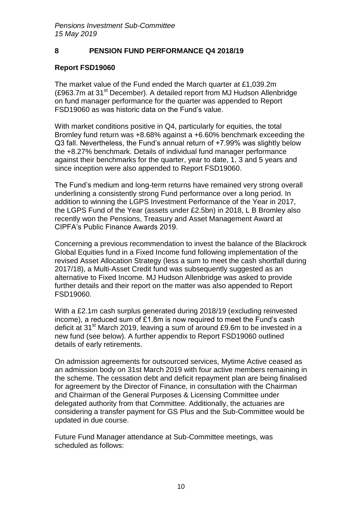# **8 PENSION FUND PERFORMANCE Q4 2018/19**

## **Report FSD19060**

The market value of the Fund ended the March quarter at £1,039.2m (£963.7m at 31<sup>st</sup> December). A detailed report from MJ Hudson Allenbridge on fund manager performance for the quarter was appended to Report FSD19060 as was historic data on the Fund's value.

With market conditions positive in Q4, particularly for equities, the total Bromley fund return was +8.68% against a +6.60% benchmark exceeding the Q3 fall. Nevertheless, the Fund's annual return of +7.99% was slightly below the +8.27% benchmark. Details of individual fund manager performance against their benchmarks for the quarter, year to date, 1, 3 and 5 years and since inception were also appended to Report FSD19060.

The Fund's medium and long-term returns have remained very strong overall underlining a consistently strong Fund performance over a long period. In addition to winning the LGPS Investment Performance of the Year in 2017, the LGPS Fund of the Year (assets under £2.5bn) in 2018, L B Bromley also recently won the Pensions, Treasury and Asset Management Award at CIPFA's Public Finance Awards 2019.

Concerning a previous recommendation to invest the balance of the Blackrock Global Equities fund in a Fixed Income fund following implementation of the revised Asset Allocation Strategy (less a sum to meet the cash shortfall during 2017/18), a Multi-Asset Credit fund was subsequently suggested as an alternative to Fixed Income. MJ Hudson Allenbridge was asked to provide further details and their report on the matter was also appended to Report FSD19060.

With a £2.1m cash surplus generated during 2018/19 (excluding reinvested income), a reduced sum of £1.8m is now required to meet the Fund's cash deficit at 31<sup>st</sup> March 2019, leaving a sum of around £9.6m to be invested in a new fund (see below). A further appendix to Report FSD19060 outlined details of early retirements.

On admission agreements for outsourced services, Mytime Active ceased as an admission body on 31st March 2019 with four active members remaining in the scheme. The cessation debt and deficit repayment plan are being finalised for agreement by the Director of Finance, in consultation with the Chairman and Chairman of the General Purposes & Licensing Committee under delegated authority from that Committee. Additionally, the actuaries are considering a transfer payment for GS Plus and the Sub-Committee would be updated in due course.

Future Fund Manager attendance at Sub-Committee meetings, was scheduled as follows: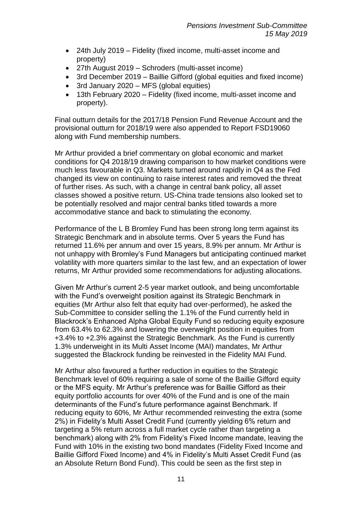- 24th July 2019 Fidelity (fixed income, multi-asset income and property)
- 27th August 2019 Schroders (multi-asset income)
- 3rd December 2019 Baillie Gifford (global equities and fixed income)
- 3rd January 2020 MFS (global equities)
- 13th February 2020 Fidelity (fixed income, multi-asset income and property).

Final outturn details for the 2017/18 Pension Fund Revenue Account and the provisional outturn for 2018/19 were also appended to Report FSD19060 along with Fund membership numbers.

Mr Arthur provided a brief commentary on global economic and market conditions for Q4 2018/19 drawing comparison to how market conditions were much less favourable in Q3. Markets turned around rapidly in Q4 as the Fed changed its view on continuing to raise interest rates and removed the threat of further rises. As such, with a change in central bank policy, all asset classes showed a positive return. US-China trade tensions also looked set to be potentially resolved and major central banks titled towards a more accommodative stance and back to stimulating the economy.

Performance of the L B Bromley Fund has been strong long term against its Strategic Benchmark and in absolute terms. Over 5 years the Fund has returned 11.6% per annum and over 15 years, 8.9% per annum. Mr Arthur is not unhappy with Bromley's Fund Managers but anticipating continued market volatility with more quarters similar to the last few, and an expectation of lower returns, Mr Arthur provided some recommendations for adjusting allocations.

Given Mr Arthur's current 2-5 year market outlook, and being uncomfortable with the Fund's overweight position against its Strategic Benchmark in equities (Mr Arthur also felt that equity had over-performed), he asked the Sub-Committee to consider selling the 1.1% of the Fund currently held in Blackrock's Enhanced Alpha Global Equity Fund so reducing equity exposure from 63.4% to 62.3% and lowering the overweight position in equities from +3.4% to +2.3% against the Strategic Benchmark. As the Fund is currently 1.3% underweight in its Multi Asset Income (MAI) mandates, Mr Arthur suggested the Blackrock funding be reinvested in the Fidelity MAI Fund.

Mr Arthur also favoured a further reduction in equities to the Strategic Benchmark level of 60% requiring a sale of some of the Baillie Gifford equity or the MFS equity. Mr Arthur's preference was for Baillie Gifford as their equity portfolio accounts for over 40% of the Fund and is one of the main determinants of the Fund's future performance against Benchmark. If reducing equity to 60%, Mr Arthur recommended reinvesting the extra (some 2%) in Fidelity's Multi Asset Credit Fund (currently yielding 6% return and targeting a 5% return across a full market cycle rather than targeting a benchmark) along with 2% from Fidelity's Fixed Income mandate, leaving the Fund with 10% in the existing two bond mandates (Fidelity Fixed Income and Baillie Gifford Fixed Income) and 4% in Fidelity's Multi Asset Credit Fund (as an Absolute Return Bond Fund). This could be seen as the first step in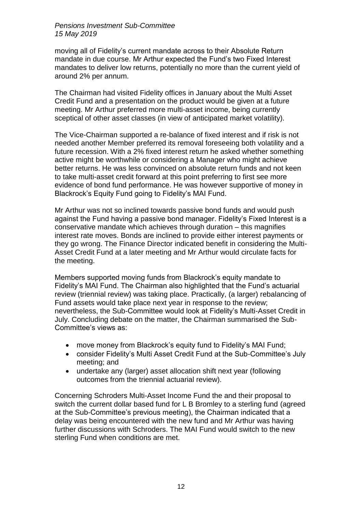moving all of Fidelity's current mandate across to their Absolute Return mandate in due course. Mr Arthur expected the Fund's two Fixed Interest mandates to deliver low returns, potentially no more than the current yield of around 2% per annum.

The Chairman had visited Fidelity offices in January about the Multi Asset Credit Fund and a presentation on the product would be given at a future meeting. Mr Arthur preferred more multi-asset income, being currently sceptical of other asset classes (in view of anticipated market volatility).

The Vice-Chairman supported a re-balance of fixed interest and if risk is not needed another Member preferred its removal foreseeing both volatility and a future recession. With a 2% fixed interest return he asked whether something active might be worthwhile or considering a Manager who might achieve better returns. He was less convinced on absolute return funds and not keen to take multi-asset credit forward at this point preferring to first see more evidence of bond fund performance. He was however supportive of money in Blackrock's Equity Fund going to Fidelity's MAI Fund.

Mr Arthur was not so inclined towards passive bond funds and would push against the Fund having a passive bond manager. Fidelity's Fixed Interest is a conservative mandate which achieves through duration – this magnifies interest rate moves. Bonds are inclined to provide either interest payments or they go wrong. The Finance Director indicated benefit in considering the Multi-Asset Credit Fund at a later meeting and Mr Arthur would circulate facts for the meeting.

Members supported moving funds from Blackrock's equity mandate to Fidelity's MAI Fund. The Chairman also highlighted that the Fund's actuarial review (triennial review) was taking place. Practically, (a larger) rebalancing of Fund assets would take place next year in response to the review; nevertheless, the Sub-Committee would look at Fidelity's Multi-Asset Credit in July. Concluding debate on the matter, the Chairman summarised the Sub-Committee's views as:

- move money from Blackrock's equity fund to Fidelity's MAI Fund;
- consider Fidelity's Multi Asset Credit Fund at the Sub-Committee's July meeting; and
- undertake any (larger) asset allocation shift next year (following outcomes from the triennial actuarial review).

Concerning Schroders Multi-Asset Income Fund the and their proposal to switch the current dollar based fund for L B Bromley to a sterling fund (agreed at the Sub-Committee's previous meeting), the Chairman indicated that a delay was being encountered with the new fund and Mr Arthur was having further discussions with Schroders. The MAI Fund would switch to the new sterling Fund when conditions are met.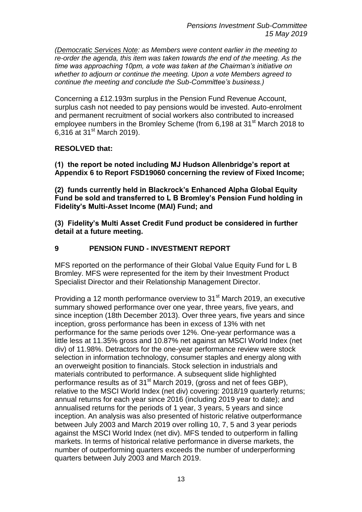*(Democratic Services Note: as Members were content earlier in the meeting to re-order the agenda, this item was taken towards the end of the meeting. As the time was approaching 10pm, a vote was taken at the Chairman's initiative on whether to adjourn or continue the meeting. Upon a vote Members agreed to continue the meeting and conclude the Sub-Committee's business.)*

Concerning a £12.193m surplus in the Pension Fund Revenue Account, surplus cash not needed to pay pensions would be invested. Auto-enrolment and permanent recruitment of social workers also contributed to increased employee numbers in the Bromley Scheme (from 6.198 at 31<sup>st</sup> March 2018 to 6,316 at 31st March 2019).

# **RESOLVED that:**

**(1) the report be noted including MJ Hudson Allenbridge's report at Appendix 6 to Report FSD19060 concerning the review of Fixed Income;** 

**(2) funds currently held in Blackrock's Enhanced Alpha Global Equity Fund be sold and transferred to L B Bromley's Pension Fund holding in Fidelity's Multi-Asset Income (MAI) Fund; and** 

**(3) Fidelity's Multi Asset Credit Fund product be considered in further detail at a future meeting.**

# **9 PENSION FUND - INVESTMENT REPORT**

MFS reported on the performance of their Global Value Equity Fund for L B Bromley. MFS were represented for the item by their Investment Product Specialist Director and their Relationship Management Director.

Providing a 12 month performance overview to 31<sup>st</sup> March 2019, an executive summary showed performance over one year, three years, five years, and since inception (18th December 2013). Over three years, five years and since inception, gross performance has been in excess of 13% with net performance for the same periods over 12%. One-year performance was a little less at 11.35% gross and 10.87% net against an MSCI World Index (net div) of 11.98%. Detractors for the one-year performance review were stock selection in information technology, consumer staples and energy along with an overweight position to financials. Stock selection in industrials and materials contributed to performance. A subsequent slide highlighted performance results as of  $31<sup>st</sup>$  March 2019, (gross and net of fees GBP), relative to the MSCI World Index (net div) covering: 2018/19 quarterly returns; annual returns for each year since 2016 (including 2019 year to date); and annualised returns for the periods of 1 year, 3 years, 5 years and since inception. An analysis was also presented of historic relative outperformance between July 2003 and March 2019 over rolling 10, 7, 5 and 3 year periods against the MSCI World Index (net div). MFS tended to outperform in falling markets. In terms of historical relative performance in diverse markets, the number of outperforming quarters exceeds the number of underperforming quarters between July 2003 and March 2019.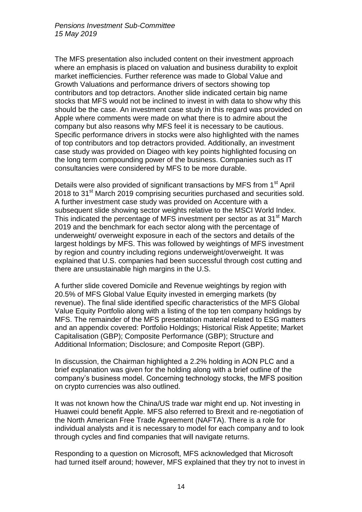The MFS presentation also included content on their investment approach where an emphasis is placed on valuation and business durability to exploit market inefficiencies. Further reference was made to Global Value and Growth Valuations and performance drivers of sectors showing top contributors and top detractors. Another slide indicated certain big name stocks that MFS would not be inclined to invest in with data to show why this should be the case. An investment case study in this regard was provided on Apple where comments were made on what there is to admire about the company but also reasons why MFS feel it is necessary to be cautious. Specific performance drivers in stocks were also highlighted with the names of top contributors and top detractors provided. Additionally, an investment case study was provided on Diageo with key points highlighted focusing on the long term compounding power of the business. Companies such as IT consultancies were considered by MFS to be more durable.

Details were also provided of significant transactions by MFS from 1<sup>st</sup> April 2018 to 31<sup>st</sup> March 2019 comprising securities purchased and securities sold. A further investment case study was provided on Accenture with a subsequent slide showing sector weights relative to the MSCI World Index. This indicated the percentage of MFS investment per sector as at 31<sup>st</sup> March 2019 and the benchmark for each sector along with the percentage of underweight/ overweight exposure in each of the sectors and details of the largest holdings by MFS. This was followed by weightings of MFS investment by region and country including regions underweight/overweight. It was explained that U.S. companies had been successful through cost cutting and there are unsustainable high margins in the U.S.

A further slide covered Domicile and Revenue weightings by region with 20.5% of MFS Global Value Equity invested in emerging markets (by revenue). The final slide identified specific characteristics of the MFS Global Value Equity Portfolio along with a listing of the top ten company holdings by MFS. The remainder of the MFS presentation material related to ESG matters and an appendix covered: Portfolio Holdings; Historical Risk Appetite; Market Capitalisation (GBP); Composite Performance (GBP); Structure and Additional Information; Disclosure; and Composite Report (GBP).

In discussion, the Chairman highlighted a 2.2% holding in AON PLC and a brief explanation was given for the holding along with a brief outline of the company's business model. Concerning technology stocks, the MFS position on crypto currencies was also outlined.

It was not known how the China/US trade war might end up. Not investing in Huawei could benefit Apple. MFS also referred to Brexit and re-negotiation of the North American Free Trade Agreement (NAFTA). There is a role for individual analysts and it is necessary to model for each company and to look through cycles and find companies that will navigate returns.

Responding to a question on Microsoft, MFS acknowledged that Microsoft had turned itself around; however, MFS explained that they try not to invest in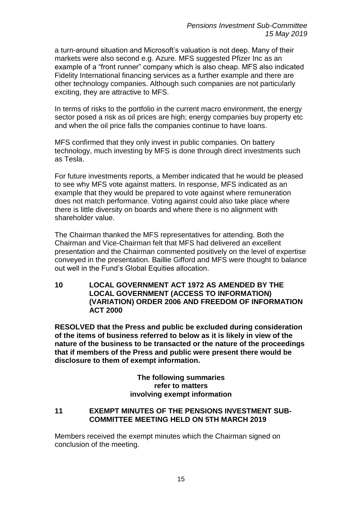a turn-around situation and Microsoft's valuation is not deep. Many of their markets were also second e.g. Azure. MFS suggested Pfizer Inc as an example of a "front runner" company which is also cheap. MFS also indicated Fidelity International financing services as a further example and there are other technology companies. Although such companies are not particularly exciting, they are attractive to MFS.

In terms of risks to the portfolio in the current macro environment, the energy sector posed a risk as oil prices are high; energy companies buy property etc and when the oil price falls the companies continue to have loans.

MFS confirmed that they only invest in public companies. On battery technology, much investing by MFS is done through direct investments such as Tesla.

For future investments reports, a Member indicated that he would be pleased to see why MFS vote against matters. In response, MFS indicated as an example that they would be prepared to vote against where remuneration does not match performance. Voting against could also take place where there is little diversity on boards and where there is no alignment with shareholder value.

The Chairman thanked the MFS representatives for attending. Both the Chairman and Vice-Chairman felt that MFS had delivered an excellent presentation and the Chairman commented positively on the level of expertise conveyed in the presentation. Baillie Gifford and MFS were thought to balance out well in the Fund's Global Equities allocation.

**10 LOCAL GOVERNMENT ACT 1972 AS AMENDED BY THE LOCAL GOVERNMENT (ACCESS TO INFORMATION) (VARIATION) ORDER 2006 AND FREEDOM OF INFORMATION ACT 2000**

**RESOLVED that the Press and public be excluded during consideration of the items of business referred to below as it is likely in view of the nature of the business to be transacted or the nature of the proceedings that if members of the Press and public were present there would be disclosure to them of exempt information.**

> **The following summaries refer to matters involving exempt information**

## **11 EXEMPT MINUTES OF THE PENSIONS INVESTMENT SUB-COMMITTEE MEETING HELD ON 5TH MARCH 2019**

Members received the exempt minutes which the Chairman signed on conclusion of the meeting.